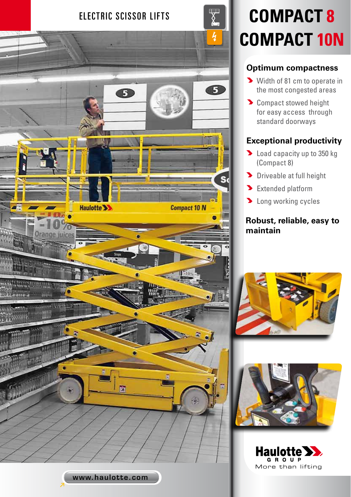



#### www.haulotte.com

# ELECTRIC SCISSOR LIFTS **FORMPACT 8 COMPACT 10N**

## **Optimum compactness**

- Width of 81 cm to operate in the most congested areas
- **D** Compact stowed height for easy access through standard doorways

# **Exceptional productivity**

- **Load capacity up to 350 kg** (Compact 8)
- **Driveable at full height**
- **Extended platform**
- **Long working cycles**

### **Robust, reliable, easy to maintain**